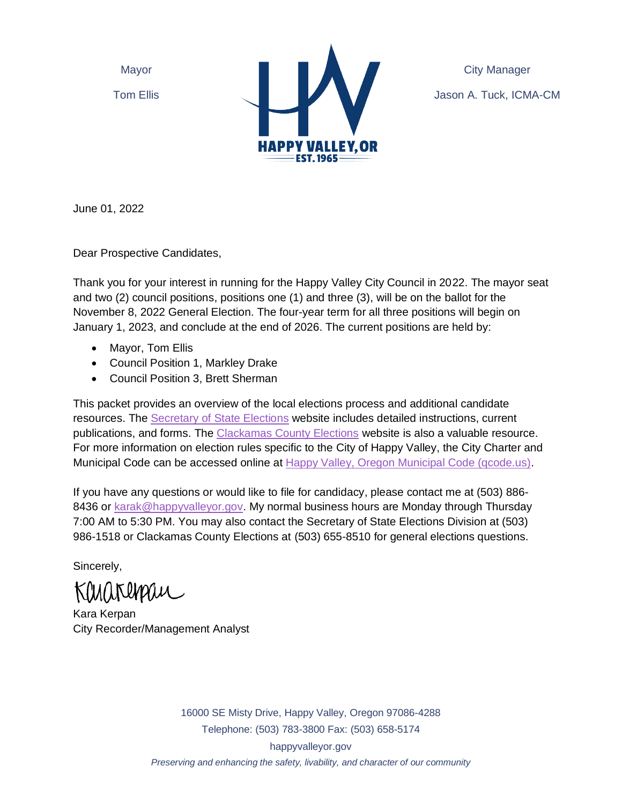Mayor

Tom Ellis



City Manager Jason A. Tuck, ICMA-CM

June 01, 2022

Dear Prospective Candidates,

Thank you for your interest in running for the Happy Valley City Council in 2022. The mayor seat and two (2) council positions, positions one (1) and three (3), will be on the ballot for the November 8, 2022 General Election. The four-year term for all three positions will begin on January 1, 2023, and conclude at the end of 2026. The current positions are held by:

- Mayor, Tom Ellis
- Council Position 1, Markley Drake
- Council Position 3, Brett Sherman

This packet provides an overview of the local elections process and additional candidate resources. The [Secretary of State Elections](https://sos.oregon.gov/elections/Pages/laws-rules-publications.aspx) website includes detailed instructions, current publications, and forms. The [Clackamas County Elections](http://www.clackamas.us/elections/) website is also a valuable resource. For more information on election rules specific to the City of Happy Valley, the City Charter and Municipal Code can be accessed online at [Happy Valley, Oregon Municipal Code \(qcode.us\).](https://library.qcode.us/lib/happy_valley_or/pub/municipal_code)

If you have any questions or would like to file for candidacy, please contact me at (503) 886- 8436 or [karak@happyvalleyor.gov.](mailto:karak@happyvalleyor.gov) My normal business hours are Monday through Thursday 7:00 AM to 5:30 PM. You may also contact the Secretary of State Elections Division at (503) 986-1518 or Clackamas County Elections at (503) 655-8510 for general elections questions.

Sincerely,

Khinhtupau

Kara Kerpan City Recorder/Management Analyst

16000 SE Misty Drive, Happy Valley, Oregon 97086-4288 Telephone: (503) 783-3800 Fax: (503) 658-5174 happyvalleyor.gov *Preserving and enhancing the safety, livability, and character of our community*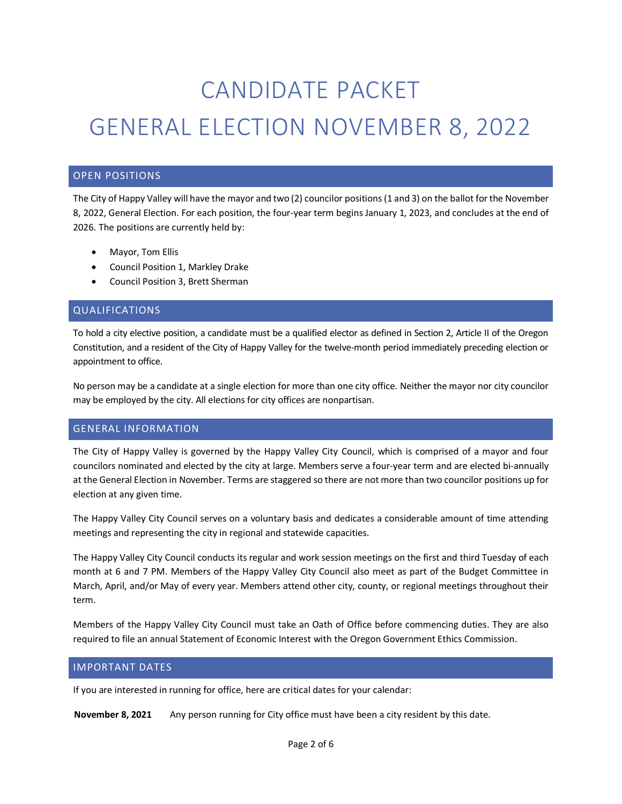# CANDIDATE PACKET GENERAL ELECTION NOVEMBER 8, 2022

## OPEN POSITIONS

The City of Happy Valley will have the mayor and two (2) councilor positions(1 and 3) on the ballot for the November 8, 2022, General Election. For each position, the four-year term begins January 1, 2023, and concludes at the end of 2026. The positions are currently held by:

- Mayor, Tom Ellis
- Council Position 1, Markley Drake
- Council Position 3, Brett Sherman

#### QUALIFICATIONS

To hold a city elective position, a candidate must be a qualified elector as defined in Section 2, Article II of the Oregon Constitution, and a resident of the City of Happy Valley for the twelve-month period immediately preceding election or appointment to office.

No person may be a candidate at a single election for more than one city office. Neither the mayor nor city councilor may be employed by the city. All elections for city offices are nonpartisan.

#### GENERAL INFORMATION

The City of Happy Valley is governed by the Happy Valley City Council, which is comprised of a mayor and four councilors nominated and elected by the city at large. Members serve a four-year term and are elected bi-annually at the General Election in November. Terms are staggered so there are not more than two councilor positions up for election at any given time.

The Happy Valley City Council serves on a voluntary basis and dedicates a considerable amount of time attending meetings and representing the city in regional and statewide capacities.

The Happy Valley City Council conducts its regular and work session meetings on the first and third Tuesday of each month at 6 and 7 PM. Members of the Happy Valley City Council also meet as part of the Budget Committee in March, April, and/or May of every year. Members attend other city, county, or regional meetings throughout their term.

Members of the Happy Valley City Council must take an Oath of Office before commencing duties. They are also required to file an annual Statement of Economic Interest with the Oregon Government Ethics Commission.

#### IMPORTANT DATES

If you are interested in running for office, here are critical dates for your calendar:

**November 8, 2021** Any person running for City office must have been a city resident by this date.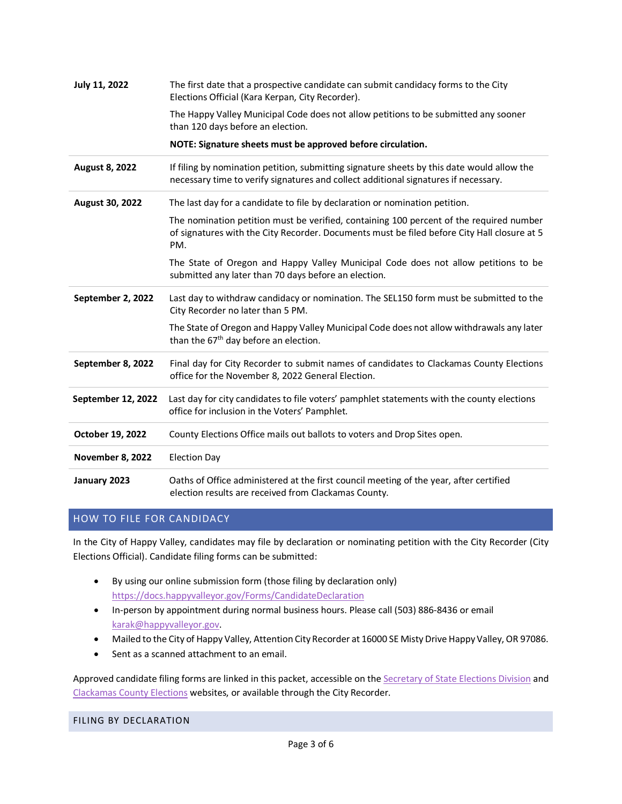| July 11, 2022         | The first date that a prospective candidate can submit candidacy forms to the City<br>Elections Official (Kara Kerpan, City Recorder).                                                        |
|-----------------------|-----------------------------------------------------------------------------------------------------------------------------------------------------------------------------------------------|
|                       | The Happy Valley Municipal Code does not allow petitions to be submitted any sooner<br>than 120 days before an election.                                                                      |
|                       | NOTE: Signature sheets must be approved before circulation.                                                                                                                                   |
| <b>August 8, 2022</b> | If filing by nomination petition, submitting signature sheets by this date would allow the<br>necessary time to verify signatures and collect additional signatures if necessary.             |
| August 30, 2022       | The last day for a candidate to file by declaration or nomination petition.                                                                                                                   |
|                       | The nomination petition must be verified, containing 100 percent of the required number<br>of signatures with the City Recorder. Documents must be filed before City Hall closure at 5<br>PM. |
|                       | The State of Oregon and Happy Valley Municipal Code does not allow petitions to be<br>submitted any later than 70 days before an election.                                                    |
| September 2, 2022     | Last day to withdraw candidacy or nomination. The SEL150 form must be submitted to the<br>City Recorder no later than 5 PM.                                                                   |
|                       | The State of Oregon and Happy Valley Municipal Code does not allow withdrawals any later<br>than the 67 <sup>th</sup> day before an election.                                                 |
| September 8, 2022     | Final day for City Recorder to submit names of candidates to Clackamas County Elections<br>office for the November 8, 2022 General Election.                                                  |
| September 12, 2022    | Last day for city candidates to file voters' pamphlet statements with the county elections<br>office for inclusion in the Voters' Pamphlet.                                                   |
| October 19, 2022      | County Elections Office mails out ballots to voters and Drop Sites open.                                                                                                                      |
| November 8, 2022      | <b>Election Day</b>                                                                                                                                                                           |
| January 2023          | Oaths of Office administered at the first council meeting of the year, after certified<br>election results are received from Clackamas County.                                                |

## HOW TO FILE FOR CANDIDACY

In the City of Happy Valley, candidates may file by declaration or nominating petition with the City Recorder (City Elections Official). Candidate filing forms can be submitted:

- By using our online submission form (those filing by declaration only) <https://docs.happyvalleyor.gov/Forms/CandidateDeclaration>
- In-person by appointment during normal business hours. Please call (503) 886-8436 or email [karak@happyvalleyor.gov.](mailto:karak@happyvalleyor.gov)
- Mailed to the City of Happy Valley, Attention City Recorder at 16000 SE Misty Drive Happy Valley, OR 97086.
- Sent as a scanned attachment to an email.

Approved candidate filing forms are linked in this packet, accessible on th[e Secretary of State Elections Division](https://sos.oregon.gov/elections/Pages/electionforms.aspx) and [Clackamas County Elections](http://www.clackamas.us/elections/) websites, or available through the City Recorder.

FILING BY DECLARATION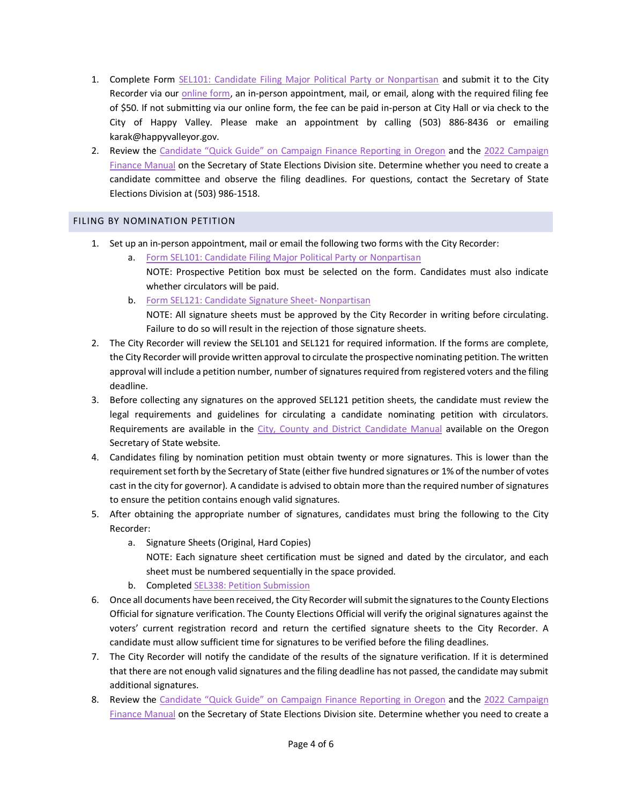- 1. Complete Form SEL101: [Candidate Filing Major Political Party or Nonpartisan](http://sos.oregon.gov/elections/Documents/SEL101.pdf) and submit it to the City Recorder via ou[r online form,](https://docs.happyvalleyor.gov/Forms/CandidateDeclaration) an in-person appointment, mail, or email, along with the required filing fee of \$50. If not submitting via our online form, the fee can be paid in-person at City Hall or via check to the City of Happy Valley. Please make an appointment by calling (503) 886-8436 or emailing karak@happyvalleyor.gov.
- 2. Review the Candidate "Quick Guide" on [Campaign Finance Reporting in Oregon](https://sos.oregon.gov/elections/Documents/candidatequickguide.pdf) and the 2022 Campaign [Finance Manual](https://sos.oregon.gov/elections/Documents/campaign-finance.pdf) on the Secretary of State Elections Division site. Determine whether you need to create a candidate committee and observe the filing deadlines. For questions, contact the Secretary of State Elections Division at (503) 986-1518.

#### FILING BY NOMINATION PETITION

- 1. Set up an in-person appointment, mail or email the following two forms with the City Recorder:
	- a. [Form SEL101: Candidate Filing Major Political Party or Nonpartisan](https://sos.oregon.gov/elections/Documents/SEL101.pdf) NOTE: Prospective Petition box must be selected on the form. Candidates must also indicate whether circulators will be paid.
	- b. [Form SEL121: Candidate Signature Sheet-](https://sos.oregon.gov/elections/Documents/SEL121.pdf) Nonpartisan NOTE: All signature sheets must be approved by the City Recorder in writing before circulating. Failure to do so will result in the rejection of those signature sheets.
- 2. The City Recorder will review the SEL101 and SEL121 for required information. If the forms are complete, the City Recorder will provide written approval to circulate the prospective nominating petition. The written approval will include a petition number, number of signatures required from registered voters and the filing deadline.
- 3. Before collecting any signatures on the approved SEL121 petition sheets, the candidate must review the legal requirements and guidelines for circulating a candidate nominating petition with circulators. Requirements are available in the [City, County and District Candidate Manual](https://sos.oregon.gov/elections/Documents/county-city-district-candidates.pdf) available on the Oregon Secretary of State website.
- 4. Candidates filing by nomination petition must obtain twenty or more signatures. This is lower than the requirement set forth by the Secretary of State (either five hundred signatures or 1% of the number of votes cast in the city for governor). A candidate is advised to obtain more than the required number of signatures to ensure the petition contains enough valid signatures.
- 5. After obtaining the appropriate number of signatures, candidates must bring the following to the City Recorder:
	- a. Signature Sheets (Original, Hard Copies) NOTE: Each signature sheet certification must be signed and dated by the circulator, and each sheet must be numbered sequentially in the space provided.
	- b. Completed SEL338: [Petition Submission](http://sos.oregon.gov/elections/Documents/SEL338.pdf)
- 6. Once all documents have been received, the City Recorder will submit the signatures to the County Elections Official for signature verification. The County Elections Official will verify the original signatures against the voters' current registration record and return the certified signature sheets to the City Recorder. A candidate must allow sufficient time for signatures to be verified before the filing deadlines.
- 7. The City Recorder will notify the candidate of the results of the signature verification. If it is determined that there are not enough valid signatures and the filing deadline has not passed, the candidate may submit additional signatures.
- 8. Review the [Candidate "Quick Guide" on Campaign Finance Reporting in Or](https://sos.oregon.gov/elections/Documents/candidatequickguide.pdf)egon and the 2022 Campaign [Finance Manual](https://sos.oregon.gov/elections/Documents/campaign-finance.pdf) on the Secretary of State Elections Division site. Determine whether you need to create a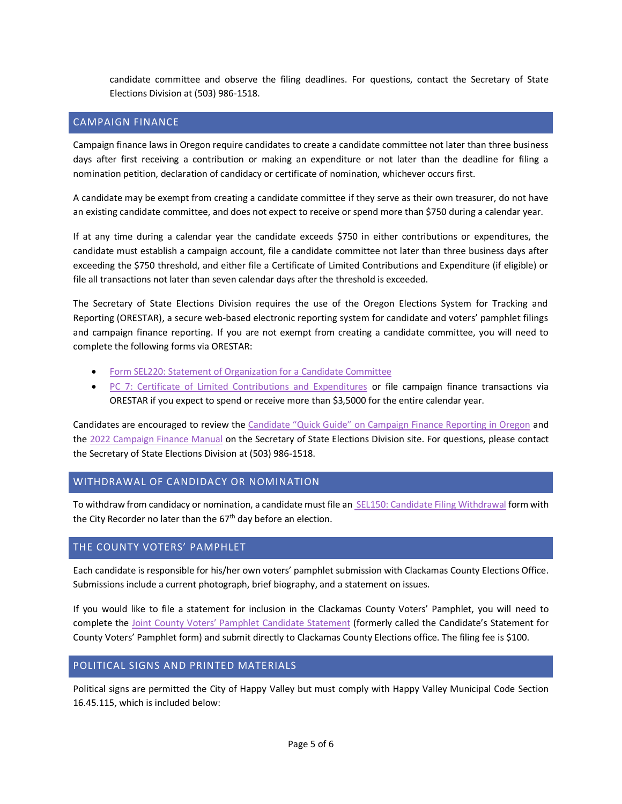candidate committee and observe the filing deadlines. For questions, contact the Secretary of State Elections Division at (503) 986-1518.

#### CAMPAIGN FINANCE

Campaign finance laws in Oregon require candidates to create a candidate committee not later than three business days after first receiving a contribution or making an expenditure or not later than the deadline for filing a nomination petition, declaration of candidacy or certificate of nomination, whichever occurs first.

A candidate may be exempt from creating a candidate committee if they serve as their own treasurer, do not have an existing candidate committee, and does not expect to receive or spend more than \$750 during a calendar year.

If at any time during a calendar year the candidate exceeds \$750 in either contributions or expenditures, the candidate must establish a campaign account, file a candidate committee not later than three business days after exceeding the \$750 threshold, and either file a Certificate of Limited Contributions and Expenditure (if eligible) or file all transactions not later than seven calendar days after the threshold is exceeded.

The Secretary of State Elections Division requires the use of the Oregon Elections System for Tracking and Reporting (ORESTAR), a secure web-based electronic reporting system for candidate and voters' pamphlet filings and campaign finance reporting. If you are not exempt from creating a candidate committee, you will need to complete the following forms via ORESTAR:

- [Form SEL220: Statement of Organization for a Candidate Committee](http://sos.oregon.gov/elections/Documents/SEL220.pdf)
- [PC 7: Certificate of Limited Contributions and Expenditures](https://sos.oregon.gov/elections/Documents/PC7.pdf) or file campaign finance transactions via ORESTAR if you expect to spend or receive more than \$3,5000 for the entire calendar year.

Candidates are encouraged to review the [Candidate "Quick Guide" on Campaign Finance Reporting in Oregon](https://sos.oregon.gov/elections/Documents/candidatequickguide.pdf) and the [2022 Campaign Finance Manual](https://sos.oregon.gov/elections/Documents/campaign-finance.pdf) on the Secretary of State Elections Division site. For questions, please contact the Secretary of State Elections Division at (503) 986-1518.

## WITHDRAWAL OF CANDIDACY OR NOMINATION

To withdraw from candidacy or nomination, a candidate must file an SEL150: [Candidate Filing Withdrawal](http://sos.oregon.gov/elections/Documents/SEL150.pdf) form with the City Recorder no later than the  $67<sup>th</sup>$  day before an election.

## THE COUNTY VOTERS' PAMPHLET

Each candidate is responsible for his/her own voters' pamphlet submission with Clackamas County Elections Office. Submissions include a current photograph, brief biography, and a statement on issues.

If you would like to file a statement for inclusion in the Clackamas County Voters' Pamphlet, you will need to complete the [Joint County Voters' Pamphlet](https://dochub.clackamas.us/documents/drupal/d989ab18-2778-4976-aeaf-359145eab2ae) Candidate Statement (formerly called the Candidate's Statement for County Voters' Pamphlet form) and submit directly to Clackamas County Elections office. The filing fee is \$100.

#### POLITICAL SIGNS AND PRINTED MATERIALS

Political signs are permitted the City of Happy Valley but must comply with Happy Valley Municipal Code Section 16.45.115, which is included below: